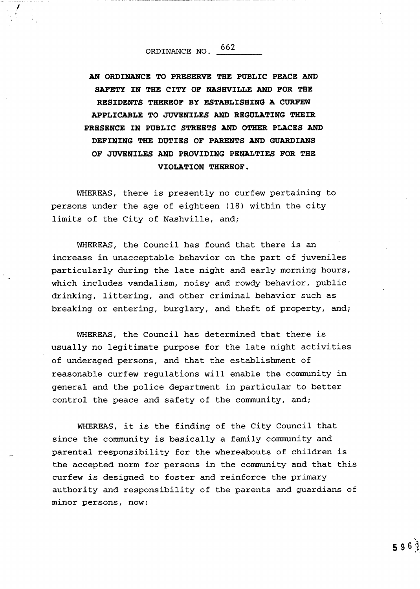## ORDINANCE NO 662

AN ORDINANCE TO PRESERVE THE PUBLIC PEACE AND SAFETY IN THE CITY OF NASHVILLE AND FOR THE RESIDENTS THEREOF BY ESTABLISHING A CURFEW APPLICABLE TO JUVENILES AND REGULATING THEIR PRESENCE IN PUBLIC STREETS AND OTHER PLACES AND DEFINING THE DUTIES OF PARENTS AND GUARDIANS OF JUVENILES AND PROVIDING PENALTIES FOR THE VIOLATION THEREOF

WHEREAS, there is presently no curfew pertaining to persons under the age of eighteen (18) within the city limits of the City of Nashville, and;

WHEREAS, the Council has found that there is an increase in unacceptable behavior on the part of juveniles particularly during the late night and early morning hours which includes vandalism, noisy and rowdy behavior, public drinking, littering, and other criminal behavior such as breaking or entering, burglary, and theft of property, and;

WHEREAS, the Council has determined that there is usually no legitimate purpose for the late night activities of underaged persons, and that the establishment of reasonable curfew regulations will enable the community in general and the police department in particular to better control the peace and safety of the community, and;

WHEREAS, it is the finding of the City Council that since the community is basically <sup>a</sup> family community and parental responsibility for the whereabouts of children is the accepted norm for persons in the community and that this curfew is designed to foster and reinforce the primary authority and responsibility of the parents and guardians of minor persons, now: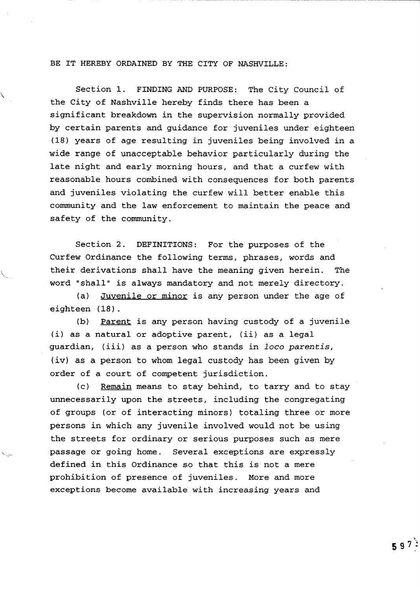BE IT HEREBY ORDAINED BY THE CITY OF NASHVILLE:

Section 1. FINDING AND PURPOSE: The City Council of the City of Nashville hereby finds there has been a significant breakdown in the supervision normally provided by certain parents and guidance for juveniles under eighteen <sup>18</sup> years of age resulting in juveniles being involved in a wide range of unacceptable behavior particularly during the late night and early morning hours, and that a curfew with reasonable hours combined with consequences for both parents and juveniles violating the curfew will better enable this community and the law enforcement to maintain the peace and safety of the community

Section 2. DEFINITIONS: For the purposes of the Curfew Ordinance the following terms, phrases, words and their derivations shall have the meaning given herein. The word "shall" is always mandatory and not merely directory.

(a) Juvenile or minor is any person under the age of eighteen (18).

b) <u>Parent</u> is any person having custody of a juvenile (b) <u>Parent</u> is any person having custody of a j<br>i) as a natural or adoptive parent, (ii) as a legal (1) as a natural or adoptive parent, (11) as a legal<br>guardian, (iii) as a person who stands in *loco parentis* iv) as a person to whom legal custody has been given by order of a court of competent jurisdiction

 $(c)$  Remain means to stay behind, to tarry and to stay unnecessarily upon the streets, including the congregating of groups (or of interacting minors) totaling three or more persons in which any juvenile involved would not be using the streets for ordinary or serious purposes such as mere passage or going home. Several exceptions are expressly defined in this Ordinance so that this is not a mere prohibition of presence of juveniles. More and more exceptions become available with increasing years and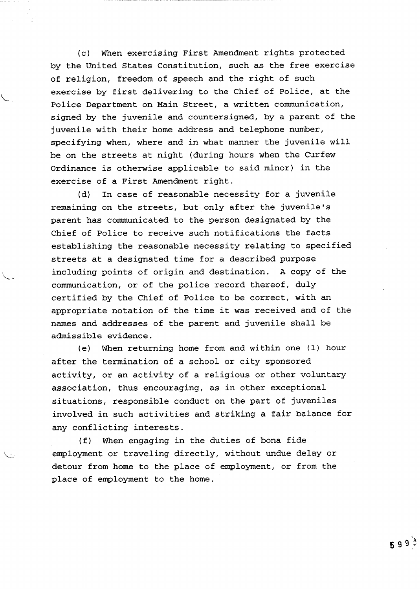(c) When exercising First Amendment rights protected by the United States Constitution, such as the free exercise of religion, freedom of speech and the right of such exercise by first delivering to the Chief of Police, at the Police Department on Main Street, a written communication, signed by the juvenile and countersigned, by a parent of the juvenile with their home address and telephone number, specifying when, where and in what manner the juvenile will be on the streets at night (during hours when the Curfew Ordinance is otherwise applicable to said minor) in the exercise of <sup>a</sup> First Amendment right

(d) In case of reasonable necessity for a juvenile remaining on the streets, but only after the juvenile's parent has communicated to the person designated by the Chief of Police to receive such notifications the facts establishing the reasonable necessity relating to specified streets at <sup>a</sup> designated time for a described purpose including points of origin and destination. A copy of the communication, or of the police record thereof, duly certified by the Chief of Police to be correct, with an appropriate notation of the time it was received and of the names and addresses of the parent and juvenile shall be admissible evidence

(e) When returning home from and within one  $(1)$  hour after the termination of <sup>a</sup> school or city sponsored activity, or an activity of a religious or other voluntary association, thus encouraging, as in other exceptional situations, responsible conduct on the part of juveniles involved in such activities and striking <sup>a</sup> fair balance for any conflicting interests

f When engaging in the duties of bona fide employment or traveling directly, without undue delay or detour from home to the place of employment, or from the place of employment to the home

<sup>5</sup> 9 9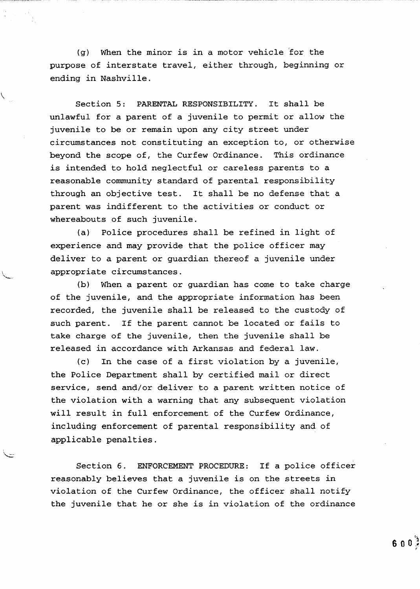$(q)$  When the minor is in a motor vehicle for the purpose of interstate travel, either through, beginning or ending in Nashville

j

Section 5: PARENTAL RESPONSIBILITY. It shall be unlawful for a parent of <sup>a</sup> juvenile to permit or allow the juvenile to be or remain upon any city street under circumstances not constituting an exception to, or otherwise beyond the scope of, the Curfew Ordinance. This ordinance is intended to hold neglectful or careless parents to <sup>a</sup> reasonable community standard of parental responsibility through an objective test. It shall be no defense that a parent was indifferent to the activities or conduct or whereabouts of such juvenile.

(a) Police procedures shall be refined in light of experience and may provide that the police officer may deliver to a parent or guardian thereof a juvenile under appropriate circumstances

(b) When a parent or quardian has come to take charge of the juvenile, and the appropriate information has been recorded, the juvenile shall be released to the custody of such parent. If the parent cannot be located or fails to take charge of the juvenile, then the juvenile shall be released in accordance with Arkansas and federal law

 $(c)$  In the case of a first violation by a juvenile, the Police Department shall by certified mail or direct service, send and/or deliver to a parent written notice of the violation with a warning that any subsequent violation will result in full enforcement of the Curfew Ordinance, including enforcement of parental responsibility and of applicable penalties

Section 6. ENFORCEMENT PROCEDURE: If a police officer reasonably believes that a juvenile is on the streets in violation of the Curfew Ordinance, the officer shall notify the juvenile that he or she is in violation of the ordinance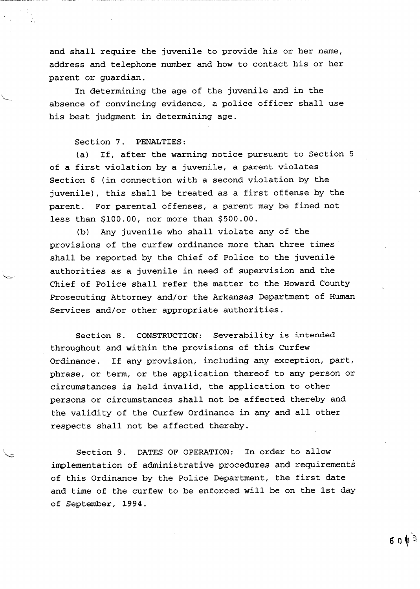and shall require the juvenile to provide his or her name, address and telephone number and how to contact his or her parent or guardian

In determining the age of the juvenile and in the absence of convincing evidence, a police officer shall use his best judgment in determining age

## Section 7. PENALTIES:

(a) If, after the warning notice pursuant to Section 5 of a first violation by a juvenile, a parent violates Section <sup>6</sup> in connection with a second violation by the juvenile), this shall be treated as a first offense by the parent. For parental offenses, a parent may be fined not less than \$100.00, nor more than \$500.00.

(b) Any juvenile who shall violate any of the provisions of the curfew ordinance more than three times shall be reported by the Chief of Police to the juvenile authorities as <sup>a</sup> juvenile in need of supervision and the Chief of Police shall refer the matter to the Howard County Prosecuting Attorney and/or the Arkansas Department of Human Services and/or other appropriate authorities.

Section 8. CONSTRUCTION: Severability is intended throughout and within the provisions of this Curfew Ordinance. If any provision, including any exception, part, phrase, or term, or the application thereof to any person or circumstances is held invalid, the application to other persons or circumstances shall not be affected thereby and the validity of the Curfew Ordinance in any and all other respects shall not be affected thereby

Section 9. DATES OF OPERATION: In order to allow implementation of administrative procedures and requirements of this Ordinance by the Police Department, the first date and time of the curfew to be enforced will be on the 1st day of September, 1994.

 $60V<sup>3</sup>$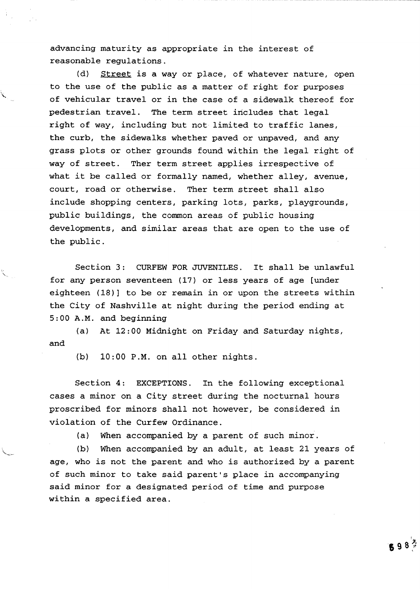advancing maturity as appropriate in the interest of reasonable regulations

 $\mathcal{L}$ 

 $(d)$  Street is a way or place, of whatever nature, open to the use of the public as a matter of right for purposes of vehicular travel or in the case of a sidewalk thereof for pedestrian travel. The term street includes that legal right of way, including but not limited to traffic lanes, the curb, the sidewalks whether paved or unpaved, and any grass plots or other grounds found within the legal right of way of street. Ther term street applies irrespective of what it be called or formally named, whether alley, avenue, court, road or otherwise. Ther term street shall also include shopping centers, parking lots, parks, playgrounds, public buildings, the common areas of public housing developments, and similar areas that are open to the use of the public

Section 3: CURFEW FOR JUVENILES. It shall be unlawful for any person seventeen (17) or less years of age [under eighteen  $(18)$  to be or remain in or upon the streets within the City of Nashville at night during the period ending at  $5:00$  A.M. and beginning

(a) At  $12:00$  Midnight on Friday and Saturday nights, and

 $(b)$  10:00 P.M. on all other nights.

Section 4: EXCEPTIONS. In the following exceptional cases <sup>a</sup> minor on <sup>a</sup> City street during the nocturnal hours proscribed for minors shall not however, be considered in violation of the Curfew Ordinance

 $(a)$  When accompanied by a parent of such minor.

(b) When accompanied by an adult, at least 21 years of age, who is not the parent and who is authorized by a parent of such minor to take said parent's place in accompanying said minor for a designated period of time and purpose within a specified area